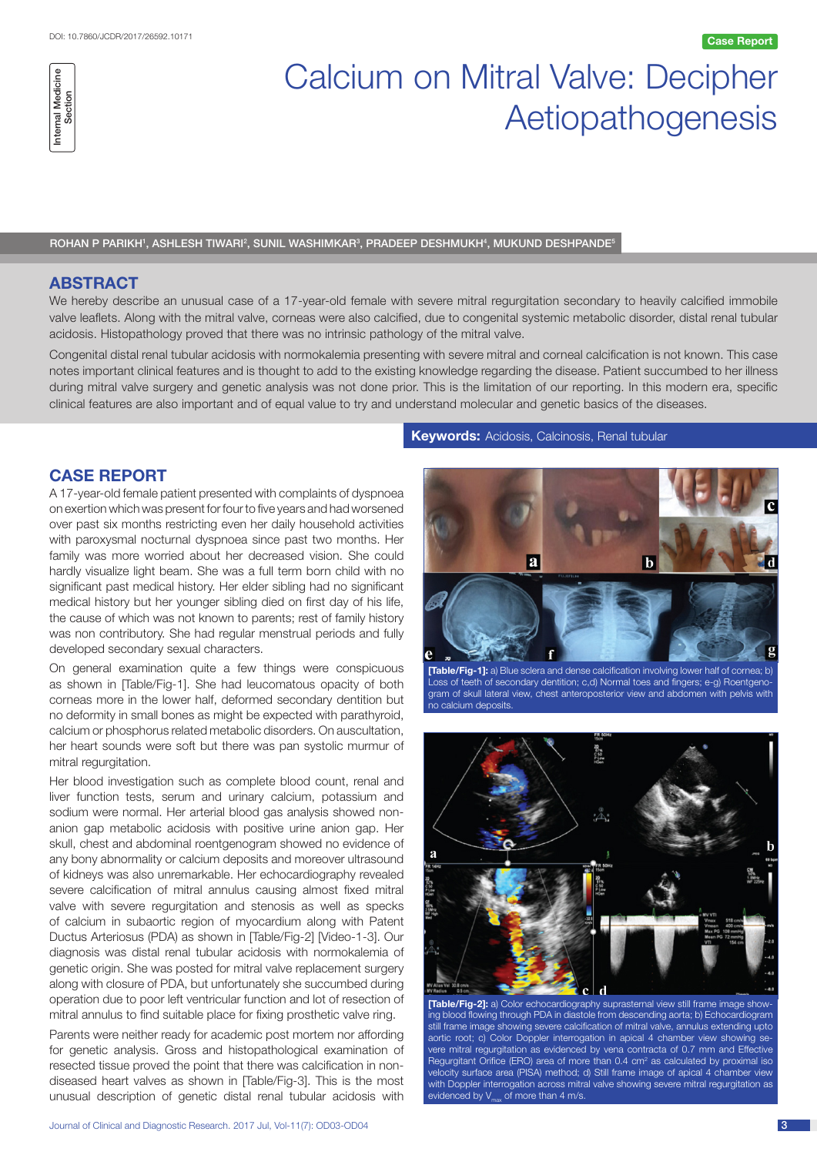# Calcium on Mitral Valve: Decipher Aetiopathogenesis

**Case Report**

ROHAN P PARIKH', ASHLESH TIWARI<sup>2</sup>, SUNIL WASHIMKAR<sup>3</sup>, PRADEEP DESHMUKH<sup>4</sup>, MUKUND DESHPANDE<sup>5</sup>

### **ABSTRACT**

We hereby describe an unusual case of a 17-year-old female with severe mitral regurgitation secondary to heavily calcified immobile valve leaflets. Along with the mitral valve, corneas were also calcified, due to congenital systemic metabolic disorder, distal renal tubular acidosis. Histopathology proved that there was no intrinsic pathology of the mitral valve.

Congenital distal renal tubular acidosis with normokalemia presenting with severe mitral and corneal calcification is not known. This case notes important clinical features and is thought to add to the existing knowledge regarding the disease. Patient succumbed to her illness during mitral valve surgery and genetic analysis was not done prior. This is the limitation of our reporting. In this modern era, specific clinical features are also important and of equal value to try and understand molecular and genetic basics of the diseases.

# **CASE REPORT**

A 17-year-old female patient presented with complaints of dyspnoea on exertion which was present for four to five years and had worsened over past six months restricting even her daily household activities with paroxysmal nocturnal dyspnoea since past two months. Her family was more worried about her decreased vision. She could hardly visualize light beam. She was a full term born child with no significant past medical history. Her elder sibling had no significant medical history but her younger sibling died on first day of his life, the cause of which was not known to parents; rest of family history was non contributory. She had regular menstrual periods and fully developed secondary sexual characters.

On general examination quite a few things were conspicuous as shown in [Table/Fig-1]. She had leucomatous opacity of both corneas more in the lower half, deformed secondary dentition but no deformity in small bones as might be expected with parathyroid, calcium or phosphorus related metabolic disorders. On auscultation, her heart sounds were soft but there was pan systolic murmur of mitral regurgitation.

Her blood investigation such as complete blood count, renal and liver function tests, serum and urinary calcium, potassium and sodium were normal. Her arterial blood gas analysis showed nonanion gap metabolic acidosis with positive urine anion gap. Her skull, chest and abdominal roentgenogram showed no evidence of any bony abnormality or calcium deposits and moreover ultrasound of kidneys was also unremarkable. Her echocardiography revealed severe calcification of mitral annulus causing almost fixed mitral valve with severe regurgitation and stenosis as well as specks of calcium in subaortic region of myocardium along with Patent Ductus Arteriosus (PDA) as shown in [Table/Fig-2] [Video-1-3]. Our diagnosis was distal renal tubular acidosis with normokalemia of genetic origin. She was posted for mitral valve replacement surgery along with closure of PDA, but unfortunately she succumbed during operation due to poor left ventricular function and lot of resection of mitral annulus to find suitable place for fixing prosthetic valve ring.

Parents were neither ready for academic post mortem nor affording for genetic analysis. Gross and histopathological examination of resected tissue proved the point that there was calcification in nondiseased heart valves as shown in [Table/Fig-3]. This is the most unusual description of genetic distal renal tubular acidosis with

#### **Keywords:** Acidosis, Calcinosis, Renal tubular



**[Table/Fig-1]:** a) Blue sclera and dense calcification involving lower half of cornea; b) Loss of teeth of secondary dentition; c,d) Normal toes and fingers; e-g) Roentgenogram of skull lateral view, chest anteroposterior view and abdomen with pelvis with no calcium deposits.



**[Table/Fig-2]:** a) Color echocardiography suprasternal view still frame image showing blood flowing through PDA in diastole from descending aorta; b) Echocardiogram still frame image showing severe calcification of mitral valve, annulus extending upto aortic root; c) Color Doppler interrogation in apical 4 chamber view showing severe mitral regurgitation as evidenced by vena contracta of 0.7 mm and Effective Regurgitant Orifice (ERO) area of more than  $0.4 \, \text{cm}^2$  as calculated by proximal iso velocity surface area (PISA) method; d) Still frame image of apical 4 chamber view with Doppler interrogation across mitral valve showing severe mitral regurgitation as evidenced by  $V_{\text{max}}$  of more than 4 m/s.